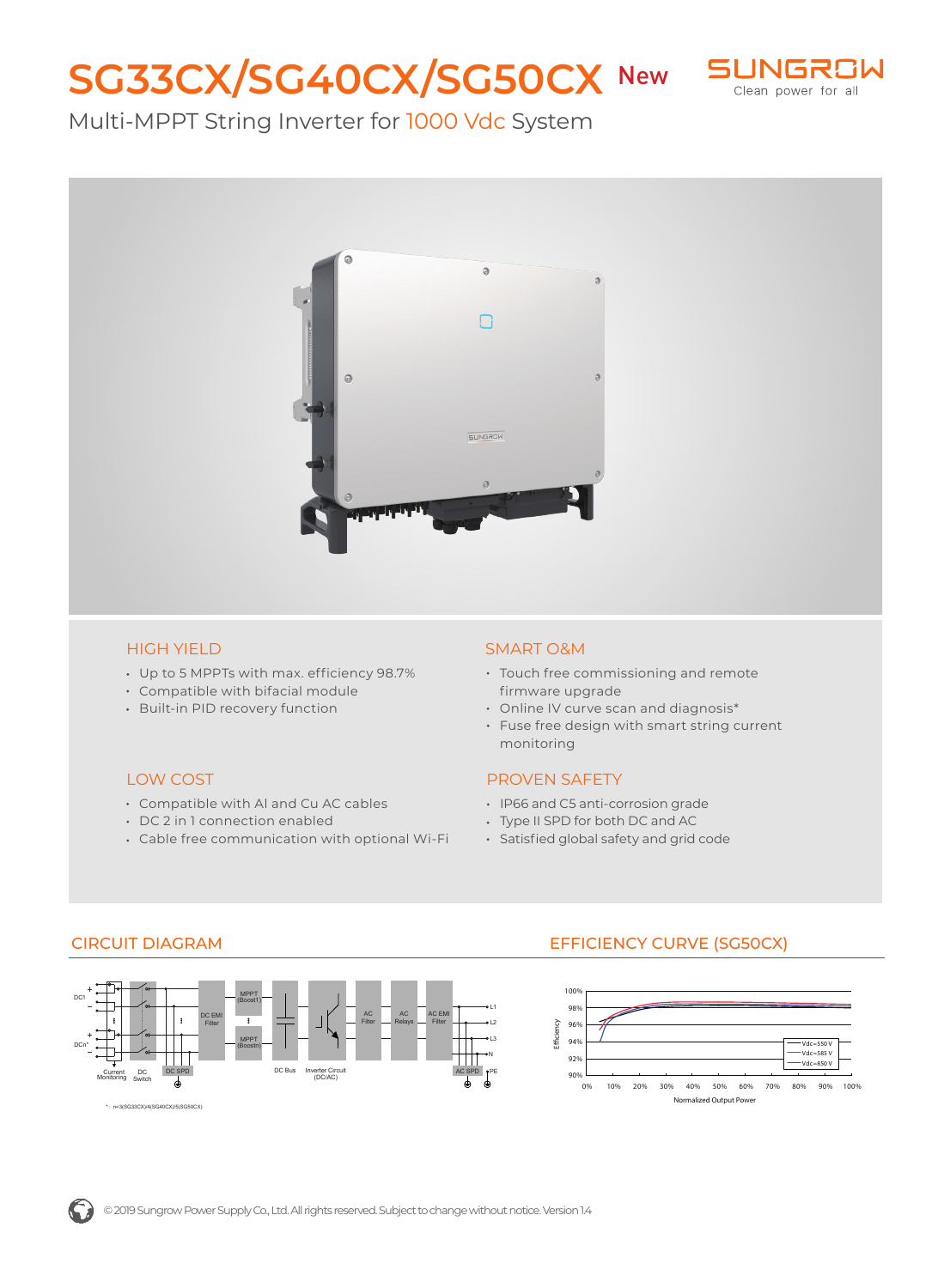# SG33CX/SG40CX/SG50CX New SUNGRSW



# Multi-MPPT String Inverter for 1000 Vdc System



#### HIGH YIELD

- Up to 5 MPPTs with max. efficiency 98.7%
- Compatible with bifacial module
- Built-in PID recovery function

#### LOW COST

- Compatible with Al and Cu AC cables
- DC 2 in 1 connection enabled
- Cable free communication with optional Wi-Fi

#### SMART O&M

- Touch free commissioning and remote firmware upgrade
- Online IV curve scan and diagnosis\*
- Fuse free design with smart string current monitoring

#### PROVEN SAFETY

- IP66 and C5 anti-corrosion grade
- Type II SPD for both DC and AC
- Satisfied global safety and grid code



### CIRCUIT DIAGRAM EFFICIENCY CURVE (SG50CX)